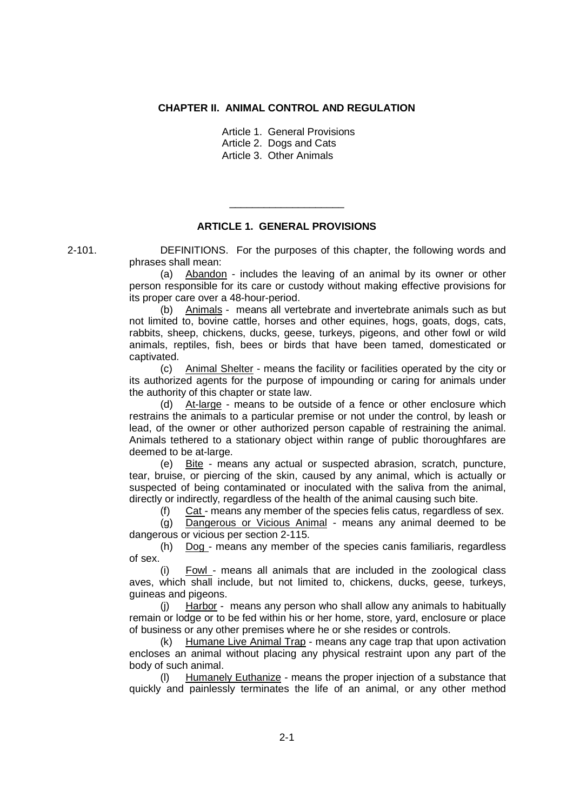## **CHAPTER II. ANIMAL CONTROL AND REGULATION**

Article 1. General Provisions

Article 2. Dogs and Cats

Article 3. Other Animals

## **ARTICLE 1. GENERAL PROVISIONS**

\_\_\_\_\_\_\_\_\_\_\_\_\_\_\_\_\_\_\_\_

2-101. DEFINITIONS. For the purposes of this chapter, the following words and phrases shall mean:

> (a) Abandon - includes the leaving of an animal by its owner or other person responsible for its care or custody without making effective provisions for its proper care over a 48-hour-period.

> (b) Animals - means all vertebrate and invertebrate animals such as but not limited to, bovine cattle, horses and other equines, hogs, goats, dogs, cats, rabbits, sheep, chickens, ducks, geese, turkeys, pigeons, and other fowl or wild animals, reptiles, fish, bees or birds that have been tamed, domesticated or captivated.

> (c) Animal Shelter - means the facility or facilities operated by the city or its authorized agents for the purpose of impounding or caring for animals under the authority of this chapter or state law.

> (d) At-large - means to be outside of a fence or other enclosure which restrains the animals to a particular premise or not under the control, by leash or lead, of the owner or other authorized person capable of restraining the animal. Animals tethered to a stationary object within range of public thoroughfares are deemed to be at-large.

> (e) Bite - means any actual or suspected abrasion, scratch, puncture, tear, bruise, or piercing of the skin, caused by any animal, which is actually or suspected of being contaminated or inoculated with the saliva from the animal, directly or indirectly, regardless of the health of the animal causing such bite.

(f) Cat - means any member of the species felis catus, regardless of sex.

(g) Dangerous or Vicious Animal - means any animal deemed to be dangerous or vicious per section 2-115.

(h) Dog - means any member of the species canis familiaris, regardless of sex.

(i) Fowl - means all animals that are included in the zoological class aves, which shall include, but not limited to, chickens, ducks, geese, turkeys, guineas and pigeons.

(j) Harbor - means any person who shall allow any animals to habitually remain or lodge or to be fed within his or her home, store, yard, enclosure or place of business or any other premises where he or she resides or controls.

(k) Humane Live Animal Trap - means any cage trap that upon activation encloses an animal without placing any physical restraint upon any part of the body of such animal.

(l) Humanely Euthanize - means the proper injection of a substance that quickly and painlessly terminates the life of an animal, or any other method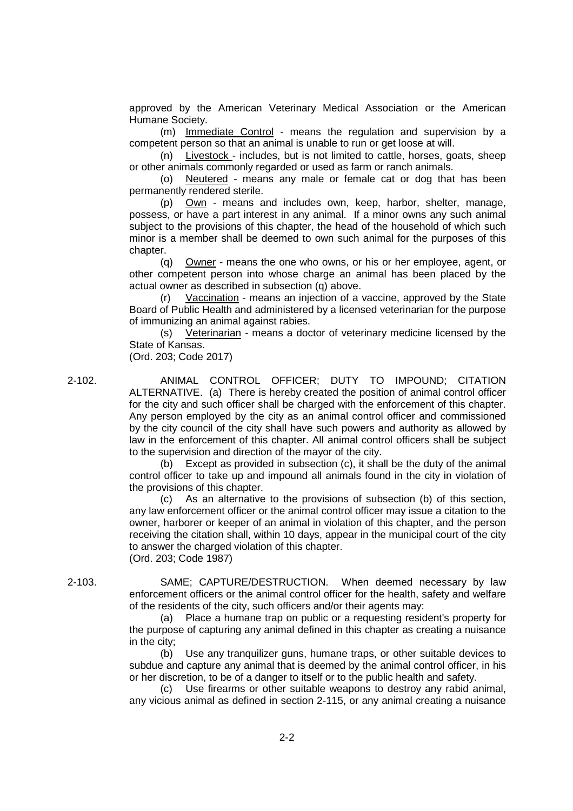approved by the American Veterinary Medical Association or the American Humane Society.

(m) Immediate Control - means the regulation and supervision by a competent person so that an animal is unable to run or get loose at will.

(n) Livestock - includes, but is not limited to cattle, horses, goats, sheep or other animals commonly regarded or used as farm or ranch animals.

(o) Neutered - means any male or female cat or dog that has been permanently rendered sterile.

(p) Own - means and includes own, keep, harbor, shelter, manage, possess, or have a part interest in any animal. If a minor owns any such animal subject to the provisions of this chapter, the head of the household of which such minor is a member shall be deemed to own such animal for the purposes of this chapter.

(q) Owner - means the one who owns, or his or her employee, agent, or other competent person into whose charge an animal has been placed by the actual owner as described in subsection (q) above.

(r) Vaccination - means an injection of a vaccine, approved by the State Board of Public Health and administered by a licensed veterinarian for the purpose of immunizing an animal against rabies.

(s) Veterinarian - means a doctor of veterinary medicine licensed by the State of Kansas.

(Ord. 203; Code 2017)

2-102. ANIMAL CONTROL OFFICER; DUTY TO IMPOUND; CITATION ALTERNATIVE. (a) There is hereby created the position of animal control officer for the city and such officer shall be charged with the enforcement of this chapter. Any person employed by the city as an animal control officer and commissioned by the city council of the city shall have such powers and authority as allowed by law in the enforcement of this chapter. All animal control officers shall be subject to the supervision and direction of the mayor of the city.

> (b) Except as provided in subsection (c), it shall be the duty of the animal control officer to take up and impound all animals found in the city in violation of the provisions of this chapter.

> (c) As an alternative to the provisions of subsection (b) of this section, any law enforcement officer or the animal control officer may issue a citation to the owner, harborer or keeper of an animal in violation of this chapter, and the person receiving the citation shall, within 10 days, appear in the municipal court of the city to answer the charged violation of this chapter. (Ord. 203; Code 1987)

2-103. SAME; CAPTURE/DESTRUCTION. When deemed necessary by law enforcement officers or the animal control officer for the health, safety and welfare of the residents of the city, such officers and/or their agents may:

> (a) Place a humane trap on public or a requesting resident's property for the purpose of capturing any animal defined in this chapter as creating a nuisance in the city;

> (b) Use any tranquilizer guns, humane traps, or other suitable devices to subdue and capture any animal that is deemed by the animal control officer, in his or her discretion, to be of a danger to itself or to the public health and safety.

> (c) Use firearms or other suitable weapons to destroy any rabid animal, any vicious animal as defined in section 2-115, or any animal creating a nuisance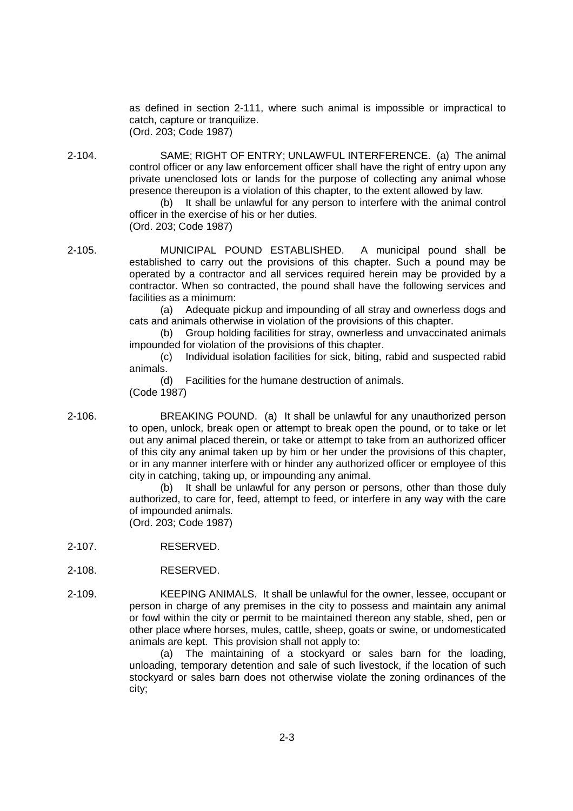as defined in section 2-111, where such animal is impossible or impractical to catch, capture or tranquilize. (Ord. 203; Code 1987)

2-104. SAME; RIGHT OF ENTRY; UNLAWFUL INTERFERENCE. (a) The animal control officer or any law enforcement officer shall have the right of entry upon any private unenclosed lots or lands for the purpose of collecting any animal whose presence thereupon is a violation of this chapter, to the extent allowed by law.

(b) It shall be unlawful for any person to interfere with the animal control officer in the exercise of his or her duties. (Ord. 203; Code 1987)

2-105. MUNICIPAL POUND ESTABLISHED. A municipal pound shall be established to carry out the provisions of this chapter. Such a pound may be operated by a contractor and all services required herein may be provided by a contractor. When so contracted, the pound shall have the following services and facilities as a minimum:

> (a) Adequate pickup and impounding of all stray and ownerless dogs and cats and animals otherwise in violation of the provisions of this chapter.

> (b) Group holding facilities for stray, ownerless and unvaccinated animals impounded for violation of the provisions of this chapter.

> (c) Individual isolation facilities for sick, biting, rabid and suspected rabid animals.

(d) Facilities for the humane destruction of animals.

(Code 1987)

2-106. BREAKING POUND. (a) It shall be unlawful for any unauthorized person to open, unlock, break open or attempt to break open the pound, or to take or let out any animal placed therein, or take or attempt to take from an authorized officer of this city any animal taken up by him or her under the provisions of this chapter, or in any manner interfere with or hinder any authorized officer or employee of this city in catching, taking up, or impounding any animal.

> (b) It shall be unlawful for any person or persons, other than those duly authorized, to care for, feed, attempt to feed, or interfere in any way with the care of impounded animals.

(Ord. 203; Code 1987)

- 2-107. RESERVED.
- 2-108. RESERVED.
- 2-109. KEEPING ANIMALS. It shall be unlawful for the owner, lessee, occupant or person in charge of any premises in the city to possess and maintain any animal or fowl within the city or permit to be maintained thereon any stable, shed, pen or other place where horses, mules, cattle, sheep, goats or swine, or undomesticated animals are kept. This provision shall not apply to:

(a) The maintaining of a stockyard or sales barn for the loading, unloading, temporary detention and sale of such livestock, if the location of such stockyard or sales barn does not otherwise violate the zoning ordinances of the city;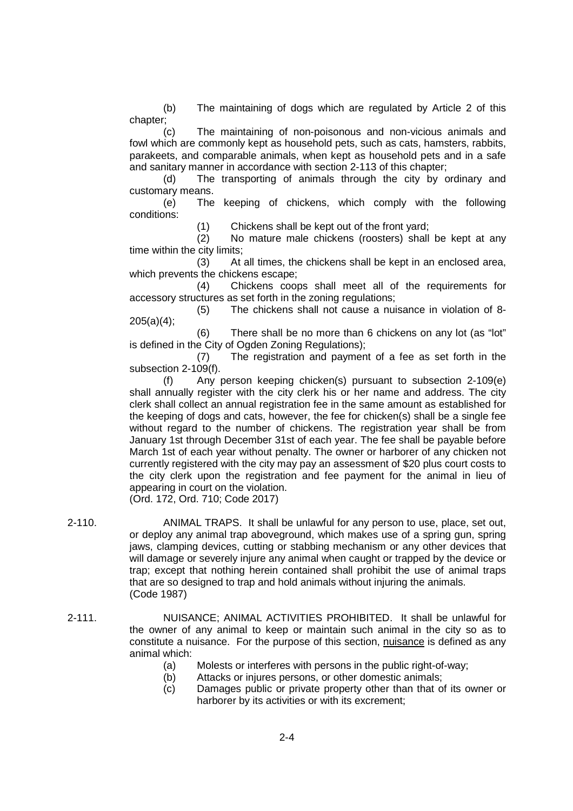(b) The maintaining of dogs which are regulated by Article 2 of this chapter;

(c) The maintaining of non-poisonous and non-vicious animals and fowl which are commonly kept as household pets, such as cats, hamsters, rabbits, parakeets, and comparable animals, when kept as household pets and in a safe and sanitary manner in accordance with section 2-113 of this chapter;

(d) The transporting of animals through the city by ordinary and customary means.

(e) The keeping of chickens, which comply with the following conditions:

(1) Chickens shall be kept out of the front yard;

(2) No mature male chickens (roosters) shall be kept at any time within the city limits;

(3) At all times, the chickens shall be kept in an enclosed area, which prevents the chickens escape;

(4) Chickens coops shall meet all of the requirements for accessory structures as set forth in the zoning regulations;

(5) The chickens shall not cause a nuisance in violation of 8- 205(a)(4);

(6) There shall be no more than 6 chickens on any lot (as "lot" is defined in the City of Ogden Zoning Regulations);

(7) The registration and payment of a fee as set forth in the subsection 2-109(f).

(f) Any person keeping chicken(s) pursuant to subsection 2-109(e) shall annually register with the city clerk his or her name and address. The city clerk shall collect an annual registration fee in the same amount as established for the keeping of dogs and cats, however, the fee for chicken(s) shall be a single fee without regard to the number of chickens. The registration year shall be from January 1st through December 31st of each year. The fee shall be payable before March 1st of each year without penalty. The owner or harborer of any chicken not currently registered with the city may pay an assessment of \$20 plus court costs to the city clerk upon the registration and fee payment for the animal in lieu of appearing in court on the violation.

(Ord. 172, Ord. 710; Code 2017)

2-110. ANIMAL TRAPS. It shall be unlawful for any person to use, place, set out, or deploy any animal trap aboveground, which makes use of a spring gun, spring jaws, clamping devices, cutting or stabbing mechanism or any other devices that will damage or severely injure any animal when caught or trapped by the device or trap; except that nothing herein contained shall prohibit the use of animal traps that are so designed to trap and hold animals without injuring the animals. (Code 1987)

- 2-111. NUISANCE; ANIMAL ACTIVITIES PROHIBITED. It shall be unlawful for the owner of any animal to keep or maintain such animal in the city so as to constitute a nuisance. For the purpose of this section, nuisance is defined as any animal which:
	- (a) Molests or interferes with persons in the public right-of-way;
	- (b) Attacks or injures persons, or other domestic animals;
	- (c) Damages public or private property other than that of its owner or harborer by its activities or with its excrement;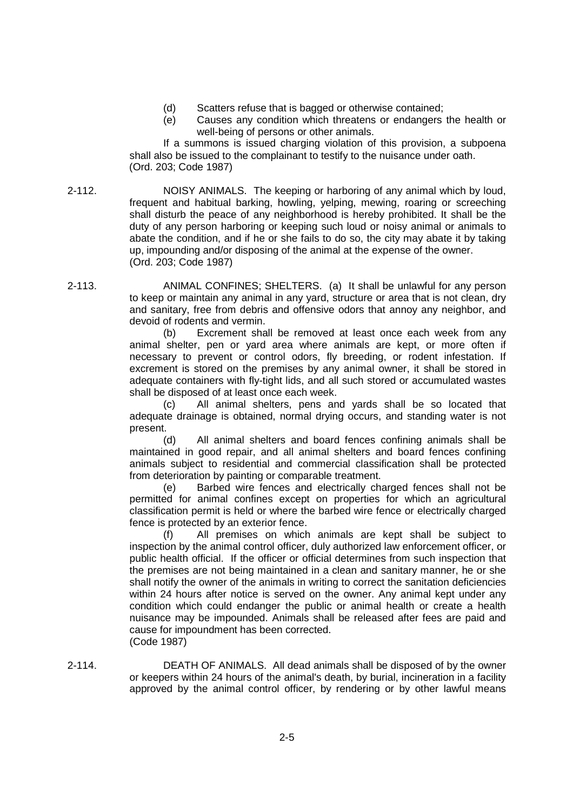- (d) Scatters refuse that is bagged or otherwise contained;
- (e) Causes any condition which threatens or endangers the health or well-being of persons or other animals.

If a summons is issued charging violation of this provision, a subpoena shall also be issued to the complainant to testify to the nuisance under oath. (Ord. 203; Code 1987)

- 2-112. NOISY ANIMALS. The keeping or harboring of any animal which by loud, frequent and habitual barking, howling, yelping, mewing, roaring or screeching shall disturb the peace of any neighborhood is hereby prohibited. It shall be the duty of any person harboring or keeping such loud or noisy animal or animals to abate the condition, and if he or she fails to do so, the city may abate it by taking up, impounding and/or disposing of the animal at the expense of the owner. (Ord. 203; Code 1987)
- 2-113. ANIMAL CONFINES; SHELTERS. (a) It shall be unlawful for any person to keep or maintain any animal in any yard, structure or area that is not clean, dry and sanitary, free from debris and offensive odors that annoy any neighbor, and devoid of rodents and vermin.

(b) Excrement shall be removed at least once each week from any animal shelter, pen or yard area where animals are kept, or more often if necessary to prevent or control odors, fly breeding, or rodent infestation. If excrement is stored on the premises by any animal owner, it shall be stored in adequate containers with fly-tight lids, and all such stored or accumulated wastes shall be disposed of at least once each week.

(c) All animal shelters, pens and yards shall be so located that adequate drainage is obtained, normal drying occurs, and standing water is not present.

(d) All animal shelters and board fences confining animals shall be maintained in good repair, and all animal shelters and board fences confining animals subject to residential and commercial classification shall be protected from deterioration by painting or comparable treatment.

(e) Barbed wire fences and electrically charged fences shall not be permitted for animal confines except on properties for which an agricultural classification permit is held or where the barbed wire fence or electrically charged fence is protected by an exterior fence.

All premises on which animals are kept shall be subject to inspection by the animal control officer, duly authorized law enforcement officer, or public health official. If the officer or official determines from such inspection that the premises are not being maintained in a clean and sanitary manner, he or she shall notify the owner of the animals in writing to correct the sanitation deficiencies within 24 hours after notice is served on the owner. Any animal kept under any condition which could endanger the public or animal health or create a health nuisance may be impounded. Animals shall be released after fees are paid and cause for impoundment has been corrected. (Code 1987)

2-114. DEATH OF ANIMALS. All dead animals shall be disposed of by the owner or keepers within 24 hours of the animal's death, by burial, incineration in a facility approved by the animal control officer, by rendering or by other lawful means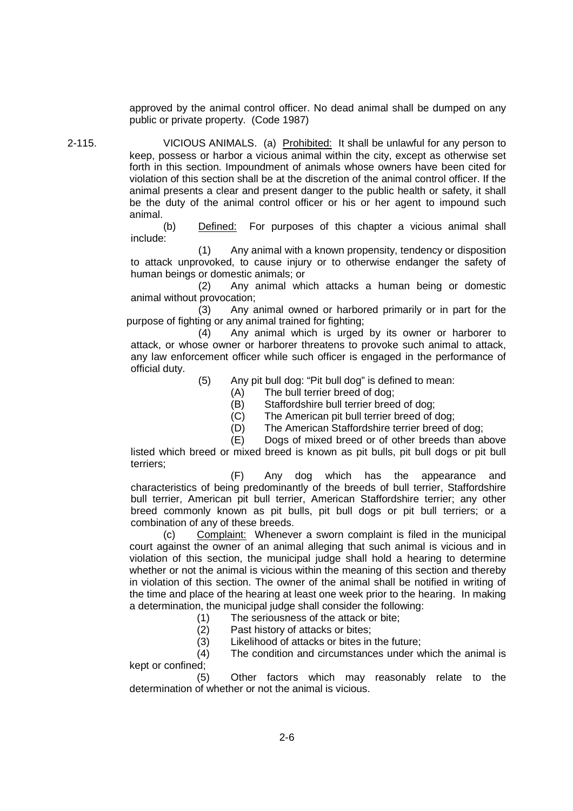approved by the animal control officer. No dead animal shall be dumped on any public or private property. (Code 1987)

2-115. VICIOUS ANIMALS. (a) Prohibited: It shall be unlawful for any person to keep, possess or harbor a vicious animal within the city, except as otherwise set forth in this section. Impoundment of animals whose owners have been cited for violation of this section shall be at the discretion of the animal control officer. If the animal presents a clear and present danger to the public health or safety, it shall be the duty of the animal control officer or his or her agent to impound such animal.

> (b) Defined: For purposes of this chapter a vicious animal shall include:

> (1) Any animal with a known propensity, tendency or disposition to attack unprovoked, to cause injury or to otherwise endanger the safety of human beings or domestic animals; or

> (2) Any animal which attacks a human being or domestic animal without provocation;

> (3) Any animal owned or harbored primarily or in part for the purpose of fighting or any animal trained for fighting;

> (4) Any animal which is urged by its owner or harborer to attack, or whose owner or harborer threatens to provoke such animal to attack, any law enforcement officer while such officer is engaged in the performance of official duty.

> > (5) Any pit bull dog: "Pit bull dog" is defined to mean:

- (A) The bull terrier breed of dog;
- (B) Staffordshire bull terrier breed of dog;
- (C) The American pit bull terrier breed of dog;
- (D) The American Staffordshire terrier breed of dog;

(E) Dogs of mixed breed or of other breeds than above

listed which breed or mixed breed is known as pit bulls, pit bull dogs or pit bull terriers;

(F) Any dog which has the appearance and characteristics of being predominantly of the breeds of bull terrier, Staffordshire bull terrier, American pit bull terrier, American Staffordshire terrier; any other breed commonly known as pit bulls, pit bull dogs or pit bull terriers; or a combination of any of these breeds.

(c) Complaint: Whenever a sworn complaint is filed in the municipal court against the owner of an animal alleging that such animal is vicious and in violation of this section, the municipal judge shall hold a hearing to determine whether or not the animal is vicious within the meaning of this section and thereby in violation of this section. The owner of the animal shall be notified in writing of the time and place of the hearing at least one week prior to the hearing. In making a determination, the municipal judge shall consider the following:

(1) The seriousness of the attack or bite;

(2) Past history of attacks or bites;

(3) Likelihood of attacks or bites in the future;

(4) The condition and circumstances under which the animal is kept or confined;

(5) Other factors which may reasonably relate to the determination of whether or not the animal is vicious.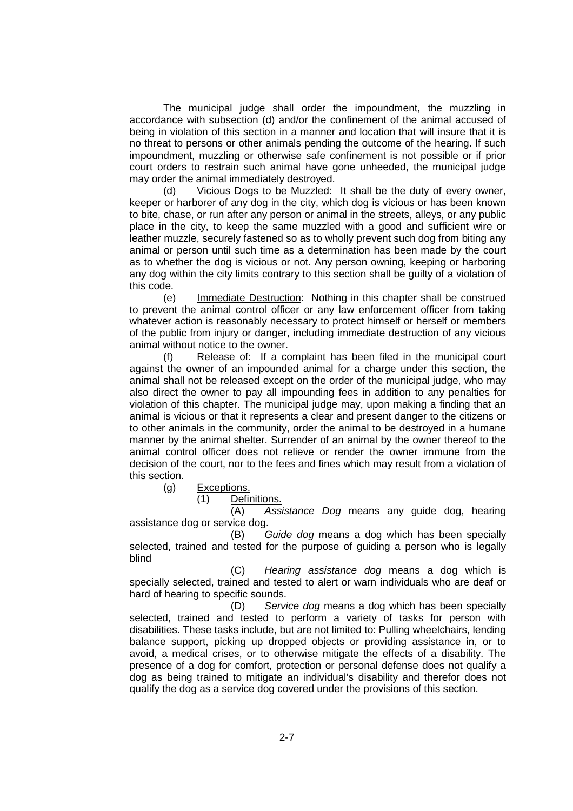The municipal judge shall order the impoundment, the muzzling in accordance with subsection (d) and/or the confinement of the animal accused of being in violation of this section in a manner and location that will insure that it is no threat to persons or other animals pending the outcome of the hearing. If such impoundment, muzzling or otherwise safe confinement is not possible or if prior court orders to restrain such animal have gone unheeded, the municipal judge may order the animal immediately destroyed.

(d) Vicious Dogs to be Muzzled: It shall be the duty of every owner, keeper or harborer of any dog in the city, which dog is vicious or has been known to bite, chase, or run after any person or animal in the streets, alleys, or any public place in the city, to keep the same muzzled with a good and sufficient wire or leather muzzle, securely fastened so as to wholly prevent such dog from biting any animal or person until such time as a determination has been made by the court as to whether the dog is vicious or not. Any person owning, keeping or harboring any dog within the city limits contrary to this section shall be guilty of a violation of this code.

(e) Immediate Destruction: Nothing in this chapter shall be construed to prevent the animal control officer or any law enforcement officer from taking whatever action is reasonably necessary to protect himself or herself or members of the public from injury or danger, including immediate destruction of any vicious animal without notice to the owner.

(f) Release of: If a complaint has been filed in the municipal court against the owner of an impounded animal for a charge under this section, the animal shall not be released except on the order of the municipal judge, who may also direct the owner to pay all impounding fees in addition to any penalties for violation of this chapter. The municipal judge may, upon making a finding that an animal is vicious or that it represents a clear and present danger to the citizens or to other animals in the community, order the animal to be destroyed in a humane manner by the animal shelter. Surrender of an animal by the owner thereof to the animal control officer does not relieve or render the owner immune from the decision of the court, nor to the fees and fines which may result from a violation of this section.

(g) Exceptions.

(1) Definitions.

(A) *Assistance Dog* means any guide dog, hearing assistance dog or service dog.

(B) *Guide dog* means a dog which has been specially selected, trained and tested for the purpose of guiding a person who is legally blind

(C) *Hearing assistance dog* means a dog which is specially selected, trained and tested to alert or warn individuals who are deaf or hard of hearing to specific sounds.

(D) *Service dog* means a dog which has been specially selected, trained and tested to perform a variety of tasks for person with disabilities. These tasks include, but are not limited to: Pulling wheelchairs, lending balance support, picking up dropped objects or providing assistance in, or to avoid, a medical crises, or to otherwise mitigate the effects of a disability. The presence of a dog for comfort, protection or personal defense does not qualify a dog as being trained to mitigate an individual's disability and therefor does not qualify the dog as a service dog covered under the provisions of this section.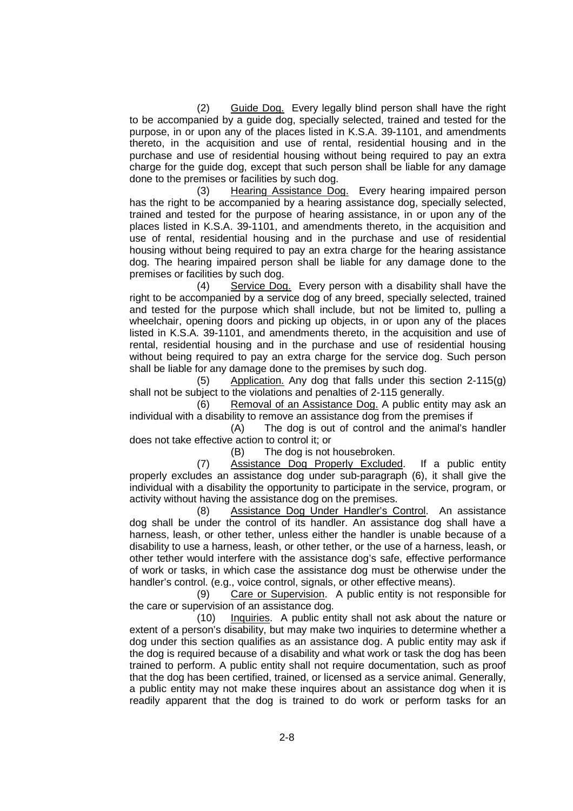(2) Guide Dog. Every legally blind person shall have the right to be accompanied by a guide dog, specially selected, trained and tested for the purpose, in or upon any of the places listed in K.S.A. 39-1101, and amendments thereto, in the acquisition and use of rental, residential housing and in the purchase and use of residential housing without being required to pay an extra charge for the guide dog, except that such person shall be liable for any damage done to the premises or facilities by such dog.

(3) Hearing Assistance Dog. Every hearing impaired person has the right to be accompanied by a hearing assistance dog, specially selected, trained and tested for the purpose of hearing assistance, in or upon any of the places listed in K.S.A. 39-1101, and amendments thereto, in the acquisition and use of rental, residential housing and in the purchase and use of residential housing without being required to pay an extra charge for the hearing assistance dog. The hearing impaired person shall be liable for any damage done to the premises or facilities by such dog.

(4) Service Dog. Every person with a disability shall have the right to be accompanied by a service dog of any breed, specially selected, trained and tested for the purpose which shall include, but not be limited to, pulling a wheelchair, opening doors and picking up objects, in or upon any of the places listed in K.S.A. 39-1101, and amendments thereto, in the acquisition and use of rental, residential housing and in the purchase and use of residential housing without being required to pay an extra charge for the service dog. Such person shall be liable for any damage done to the premises by such dog.

(5) Application. Any dog that falls under this section 2-115(g) shall not be subject to the violations and penalties of 2-115 generally.

(6) Removal of an Assistance Dog. A public entity may ask an individual with a disability to remove an assistance dog from the premises if

(A) The dog is out of control and the animal's handler does not take effective action to control it; or

(B) The dog is not housebroken.

(7) Assistance Dog Properly Excluded. If a public entity properly excludes an assistance dog under sub-paragraph (6), it shall give the individual with a disability the opportunity to participate in the service, program, or activity without having the assistance dog on the premises.

(8) Assistance Dog Under Handler's Control. An assistance dog shall be under the control of its handler. An assistance dog shall have a harness, leash, or other tether, unless either the handler is unable because of a disability to use a harness, leash, or other tether, or the use of a harness, leash, or other tether would interfere with the assistance dog's safe, effective performance of work or tasks, in which case the assistance dog must be otherwise under the handler's control. (e.g., voice control, signals, or other effective means).

(9) Care or Supervision. A public entity is not responsible for the care or supervision of an assistance dog.

(10) Inquiries. A public entity shall not ask about the nature or extent of a person's disability, but may make two inquiries to determine whether a dog under this section qualifies as an assistance dog. A public entity may ask if the dog is required because of a disability and what work or task the dog has been trained to perform. A public entity shall not require documentation, such as proof that the dog has been certified, trained, or licensed as a service animal. Generally, a public entity may not make these inquires about an assistance dog when it is readily apparent that the dog is trained to do work or perform tasks for an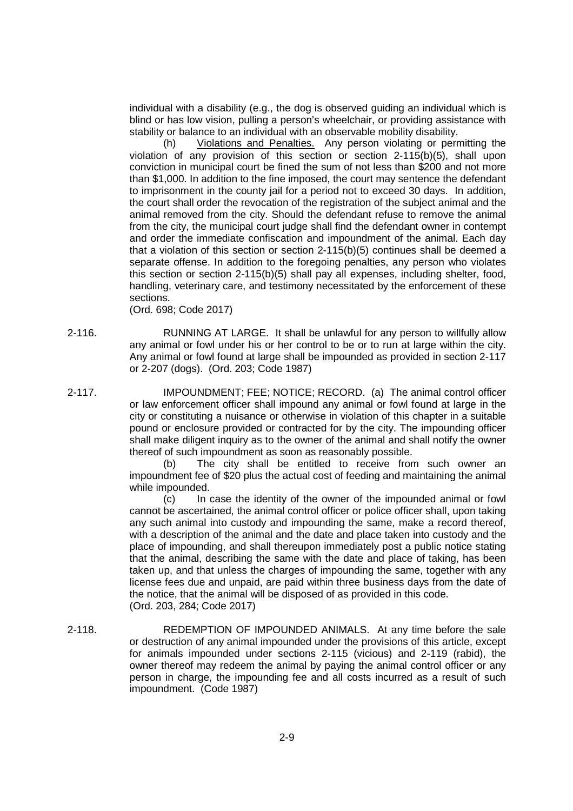individual with a disability (e.g., the dog is observed guiding an individual which is blind or has low vision, pulling a person's wheelchair, or providing assistance with stability or balance to an individual with an observable mobility disability.

(h) Violations and Penalties. Any person violating or permitting the violation of any provision of this section or section 2-115(b)(5), shall upon conviction in municipal court be fined the sum of not less than \$200 and not more than \$1,000. In addition to the fine imposed, the court may sentence the defendant to imprisonment in the county jail for a period not to exceed 30 days. In addition, the court shall order the revocation of the registration of the subject animal and the animal removed from the city. Should the defendant refuse to remove the animal from the city, the municipal court judge shall find the defendant owner in contempt and order the immediate confiscation and impoundment of the animal. Each day that a violation of this section or section 2-115(b)(5) continues shall be deemed a separate offense. In addition to the foregoing penalties, any person who violates this section or section 2-115(b)(5) shall pay all expenses, including shelter, food, handling, veterinary care, and testimony necessitated by the enforcement of these sections.

(Ord. 698; Code 2017)

- 2-116. RUNNING AT LARGE. It shall be unlawful for any person to willfully allow any animal or fowl under his or her control to be or to run at large within the city. Any animal or fowl found at large shall be impounded as provided in section 2-117 or 2-207 (dogs). (Ord. 203; Code 1987)
- 2-117. IMPOUNDMENT; FEE; NOTICE; RECORD. (a) The animal control officer or law enforcement officer shall impound any animal or fowl found at large in the city or constituting a nuisance or otherwise in violation of this chapter in a suitable pound or enclosure provided or contracted for by the city. The impounding officer shall make diligent inquiry as to the owner of the animal and shall notify the owner thereof of such impoundment as soon as reasonably possible.

(b) The city shall be entitled to receive from such owner an impoundment fee of \$20 plus the actual cost of feeding and maintaining the animal while impounded.

(c) In case the identity of the owner of the impounded animal or fowl cannot be ascertained, the animal control officer or police officer shall, upon taking any such animal into custody and impounding the same, make a record thereof, with a description of the animal and the date and place taken into custody and the place of impounding, and shall thereupon immediately post a public notice stating that the animal, describing the same with the date and place of taking, has been taken up, and that unless the charges of impounding the same, together with any license fees due and unpaid, are paid within three business days from the date of the notice, that the animal will be disposed of as provided in this code. (Ord. 203, 284; Code 2017)

2-118. REDEMPTION OF IMPOUNDED ANIMALS. At any time before the sale or destruction of any animal impounded under the provisions of this article, except for animals impounded under sections 2-115 (vicious) and 2-119 (rabid), the owner thereof may redeem the animal by paying the animal control officer or any person in charge, the impounding fee and all costs incurred as a result of such impoundment. (Code 1987)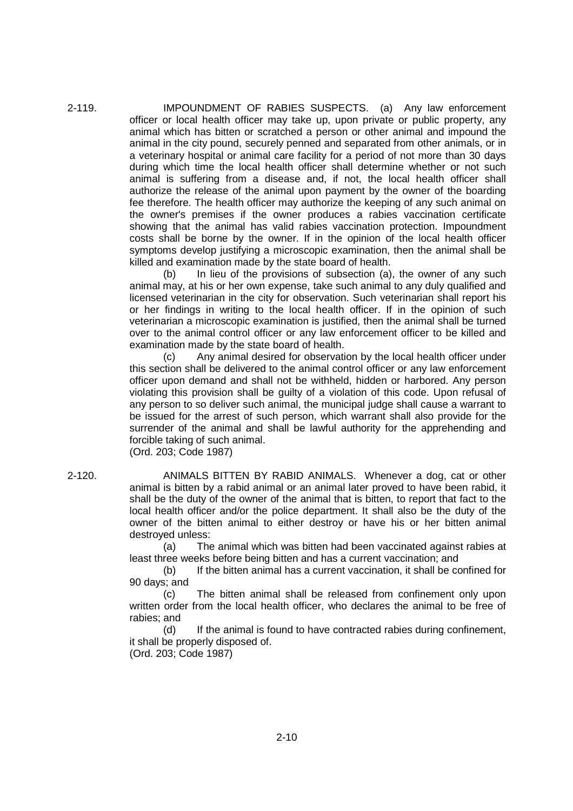2-119. IMPOUNDMENT OF RABIES SUSPECTS. (a) Any law enforcement officer or local health officer may take up, upon private or public property, any animal which has bitten or scratched a person or other animal and impound the animal in the city pound, securely penned and separated from other animals, or in a veterinary hospital or animal care facility for a period of not more than 30 days during which time the local health officer shall determine whether or not such animal is suffering from a disease and, if not, the local health officer shall authorize the release of the animal upon payment by the owner of the boarding fee therefore. The health officer may authorize the keeping of any such animal on the owner's premises if the owner produces a rabies vaccination certificate showing that the animal has valid rabies vaccination protection. Impoundment costs shall be borne by the owner. If in the opinion of the local health officer symptoms develop justifying a microscopic examination, then the animal shall be killed and examination made by the state board of health.

> (b) In lieu of the provisions of subsection (a), the owner of any such animal may, at his or her own expense, take such animal to any duly qualified and licensed veterinarian in the city for observation. Such veterinarian shall report his or her findings in writing to the local health officer. If in the opinion of such veterinarian a microscopic examination is justified, then the animal shall be turned over to the animal control officer or any law enforcement officer to be killed and examination made by the state board of health.

> (c) Any animal desired for observation by the local health officer under this section shall be delivered to the animal control officer or any law enforcement officer upon demand and shall not be withheld, hidden or harbored. Any person violating this provision shall be guilty of a violation of this code. Upon refusal of any person to so deliver such animal, the municipal judge shall cause a warrant to be issued for the arrest of such person, which warrant shall also provide for the surrender of the animal and shall be lawful authority for the apprehending and forcible taking of such animal.

(Ord. 203; Code 1987)

2-120. ANIMALS BITTEN BY RABID ANIMALS. Whenever a dog, cat or other animal is bitten by a rabid animal or an animal later proved to have been rabid, it shall be the duty of the owner of the animal that is bitten, to report that fact to the local health officer and/or the police department. It shall also be the duty of the owner of the bitten animal to either destroy or have his or her bitten animal destroyed unless:

> (a) The animal which was bitten had been vaccinated against rabies at least three weeks before being bitten and has a current vaccination; and

> (b) If the bitten animal has a current vaccination, it shall be confined for 90 days; and

> (c) The bitten animal shall be released from confinement only upon written order from the local health officer, who declares the animal to be free of rabies; and

> (d) If the animal is found to have contracted rabies during confinement, it shall be properly disposed of.

(Ord. 203; Code 1987)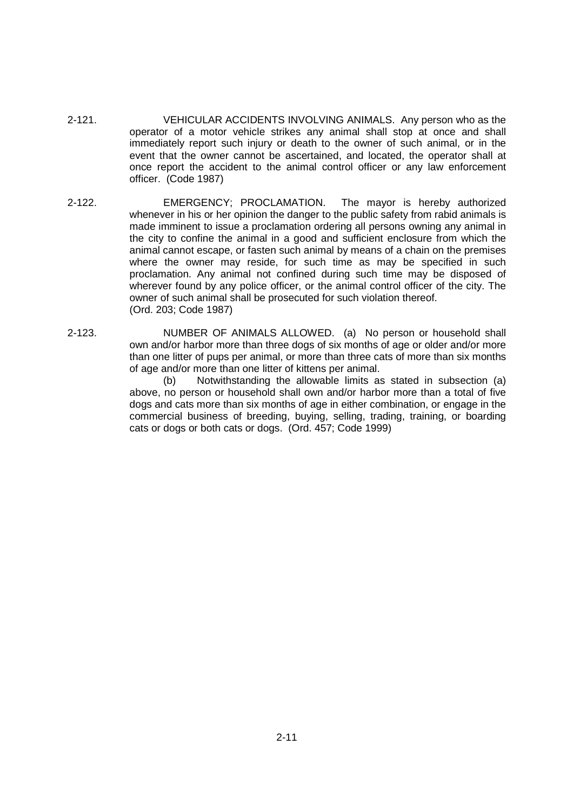- 2-121. VEHICULAR ACCIDENTS INVOLVING ANIMALS. Any person who as the operator of a motor vehicle strikes any animal shall stop at once and shall immediately report such injury or death to the owner of such animal, or in the event that the owner cannot be ascertained, and located, the operator shall at once report the accident to the animal control officer or any law enforcement officer. (Code 1987)
- 2-122. EMERGENCY; PROCLAMATION. The mayor is hereby authorized whenever in his or her opinion the danger to the public safety from rabid animals is made imminent to issue a proclamation ordering all persons owning any animal in the city to confine the animal in a good and sufficient enclosure from which the animal cannot escape, or fasten such animal by means of a chain on the premises where the owner may reside, for such time as may be specified in such proclamation. Any animal not confined during such time may be disposed of wherever found by any police officer, or the animal control officer of the city. The owner of such animal shall be prosecuted for such violation thereof. (Ord. 203; Code 1987)
- 2-123. NUMBER OF ANIMALS ALLOWED. (a) No person or household shall own and/or harbor more than three dogs of six months of age or older and/or more than one litter of pups per animal, or more than three cats of more than six months of age and/or more than one litter of kittens per animal.

(b) Notwithstanding the allowable limits as stated in subsection (a) above, no person or household shall own and/or harbor more than a total of five dogs and cats more than six months of age in either combination, or engage in the commercial business of breeding, buying, selling, trading, training, or boarding cats or dogs or both cats or dogs. (Ord. 457; Code 1999)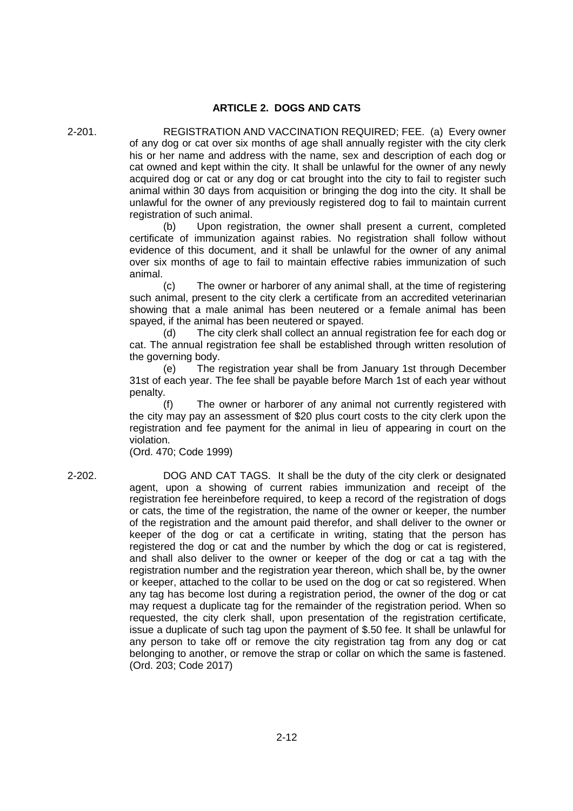## **ARTICLE 2. DOGS AND CATS**

2-201. REGISTRATION AND VACCINATION REQUIRED; FEE. (a) Every owner of any dog or cat over six months of age shall annually register with the city clerk his or her name and address with the name, sex and description of each dog or cat owned and kept within the city. It shall be unlawful for the owner of any newly acquired dog or cat or any dog or cat brought into the city to fail to register such animal within 30 days from acquisition or bringing the dog into the city. It shall be unlawful for the owner of any previously registered dog to fail to maintain current registration of such animal.

> (b) Upon registration, the owner shall present a current, completed certificate of immunization against rabies. No registration shall follow without evidence of this document, and it shall be unlawful for the owner of any animal over six months of age to fail to maintain effective rabies immunization of such animal.

> (c) The owner or harborer of any animal shall, at the time of registering such animal, present to the city clerk a certificate from an accredited veterinarian showing that a male animal has been neutered or a female animal has been spayed, if the animal has been neutered or spayed.

> (d) The city clerk shall collect an annual registration fee for each dog or cat. The annual registration fee shall be established through written resolution of the governing body.

> (e) The registration year shall be from January 1st through December 31st of each year. The fee shall be payable before March 1st of each year without penalty.

> The owner or harborer of any animal not currently registered with the city may pay an assessment of \$20 plus court costs to the city clerk upon the registration and fee payment for the animal in lieu of appearing in court on the violation.

(Ord. 470; Code 1999)

2-202. DOG AND CAT TAGS. It shall be the duty of the city clerk or designated agent, upon a showing of current rabies immunization and receipt of the registration fee hereinbefore required, to keep a record of the registration of dogs or cats, the time of the registration, the name of the owner or keeper, the number of the registration and the amount paid therefor, and shall deliver to the owner or keeper of the dog or cat a certificate in writing, stating that the person has registered the dog or cat and the number by which the dog or cat is registered, and shall also deliver to the owner or keeper of the dog or cat a tag with the registration number and the registration year thereon, which shall be, by the owner or keeper, attached to the collar to be used on the dog or cat so registered. When any tag has become lost during a registration period, the owner of the dog or cat may request a duplicate tag for the remainder of the registration period. When so requested, the city clerk shall, upon presentation of the registration certificate, issue a duplicate of such tag upon the payment of \$.50 fee. It shall be unlawful for any person to take off or remove the city registration tag from any dog or cat belonging to another, or remove the strap or collar on which the same is fastened. (Ord. 203; Code 2017)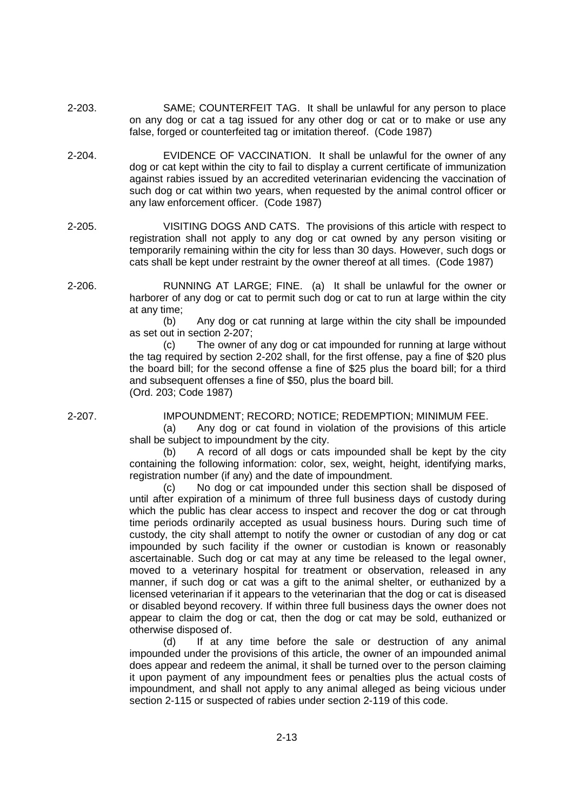- 2-203. SAME; COUNTERFEIT TAG. It shall be unlawful for any person to place on any dog or cat a tag issued for any other dog or cat or to make or use any false, forged or counterfeited tag or imitation thereof. (Code 1987)
- 2-204. EVIDENCE OF VACCINATION. It shall be unlawful for the owner of any dog or cat kept within the city to fail to display a current certificate of immunization against rabies issued by an accredited veterinarian evidencing the vaccination of such dog or cat within two years, when requested by the animal control officer or any law enforcement officer. (Code 1987)
- 2-205. VISITING DOGS AND CATS. The provisions of this article with respect to registration shall not apply to any dog or cat owned by any person visiting or temporarily remaining within the city for less than 30 days. However, such dogs or cats shall be kept under restraint by the owner thereof at all times. (Code 1987)
- 2-206. RUNNING AT LARGE; FINE. (a) It shall be unlawful for the owner or harborer of any dog or cat to permit such dog or cat to run at large within the city at any time;

(b) Any dog or cat running at large within the city shall be impounded as set out in section 2-207;

(c) The owner of any dog or cat impounded for running at large without the tag required by section 2-202 shall, for the first offense, pay a fine of \$20 plus the board bill; for the second offense a fine of \$25 plus the board bill; for a third and subsequent offenses a fine of \$50, plus the board bill. (Ord. 203; Code 1987)

2-207. IMPOUNDMENT; RECORD; NOTICE; REDEMPTION; MINIMUM FEE.

(a) Any dog or cat found in violation of the provisions of this article shall be subject to impoundment by the city.

(b) A record of all dogs or cats impounded shall be kept by the city containing the following information: color, sex, weight, height, identifying marks, registration number (if any) and the date of impoundment.

(c) No dog or cat impounded under this section shall be disposed of until after expiration of a minimum of three full business days of custody during which the public has clear access to inspect and recover the dog or cat through time periods ordinarily accepted as usual business hours. During such time of custody, the city shall attempt to notify the owner or custodian of any dog or cat impounded by such facility if the owner or custodian is known or reasonably ascertainable. Such dog or cat may at any time be released to the legal owner, moved to a veterinary hospital for treatment or observation, released in any manner, if such dog or cat was a gift to the animal shelter, or euthanized by a licensed veterinarian if it appears to the veterinarian that the dog or cat is diseased or disabled beyond recovery. If within three full business days the owner does not appear to claim the dog or cat, then the dog or cat may be sold, euthanized or otherwise disposed of.

(d) If at any time before the sale or destruction of any animal impounded under the provisions of this article, the owner of an impounded animal does appear and redeem the animal, it shall be turned over to the person claiming it upon payment of any impoundment fees or penalties plus the actual costs of impoundment, and shall not apply to any animal alleged as being vicious under section 2-115 or suspected of rabies under section 2-119 of this code.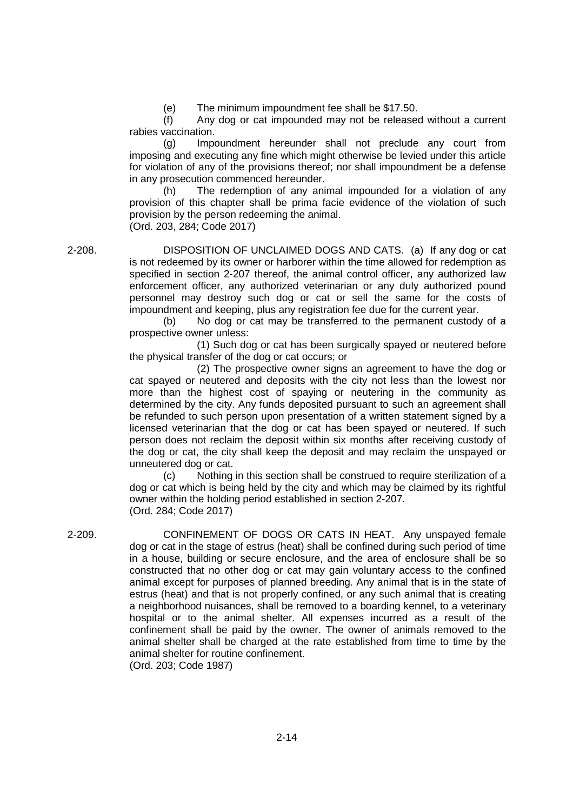(e) The minimum impoundment fee shall be \$17.50.

(f) Any dog or cat impounded may not be released without a current rabies vaccination.

(g) Impoundment hereunder shall not preclude any court from imposing and executing any fine which might otherwise be levied under this article for violation of any of the provisions thereof; nor shall impoundment be a defense in any prosecution commenced hereunder.

(h) The redemption of any animal impounded for a violation of any provision of this chapter shall be prima facie evidence of the violation of such provision by the person redeeming the animal. (Ord. 203, 284; Code 2017)

2-208. DISPOSITION OF UNCLAIMED DOGS AND CATS. (a) If any dog or cat is not redeemed by its owner or harborer within the time allowed for redemption as specified in section 2-207 thereof, the animal control officer, any authorized law enforcement officer, any authorized veterinarian or any duly authorized pound personnel may destroy such dog or cat or sell the same for the costs of impoundment and keeping, plus any registration fee due for the current year.

> (b) No dog or cat may be transferred to the permanent custody of a prospective owner unless:

> (1) Such dog or cat has been surgically spayed or neutered before the physical transfer of the dog or cat occurs; or

> (2) The prospective owner signs an agreement to have the dog or cat spayed or neutered and deposits with the city not less than the lowest nor more than the highest cost of spaying or neutering in the community as determined by the city. Any funds deposited pursuant to such an agreement shall be refunded to such person upon presentation of a written statement signed by a licensed veterinarian that the dog or cat has been spayed or neutered. If such person does not reclaim the deposit within six months after receiving custody of the dog or cat, the city shall keep the deposit and may reclaim the unspayed or unneutered dog or cat.

> (c) Nothing in this section shall be construed to require sterilization of a dog or cat which is being held by the city and which may be claimed by its rightful owner within the holding period established in section 2-207. (Ord. 284; Code 2017)

2-209. CONFINEMENT OF DOGS OR CATS IN HEAT. Any unspayed female dog or cat in the stage of estrus (heat) shall be confined during such period of time in a house, building or secure enclosure, and the area of enclosure shall be so constructed that no other dog or cat may gain voluntary access to the confined animal except for purposes of planned breeding. Any animal that is in the state of estrus (heat) and that is not properly confined, or any such animal that is creating a neighborhood nuisances, shall be removed to a boarding kennel, to a veterinary hospital or to the animal shelter. All expenses incurred as a result of the confinement shall be paid by the owner. The owner of animals removed to the animal shelter shall be charged at the rate established from time to time by the animal shelter for routine confinement. (Ord. 203; Code 1987)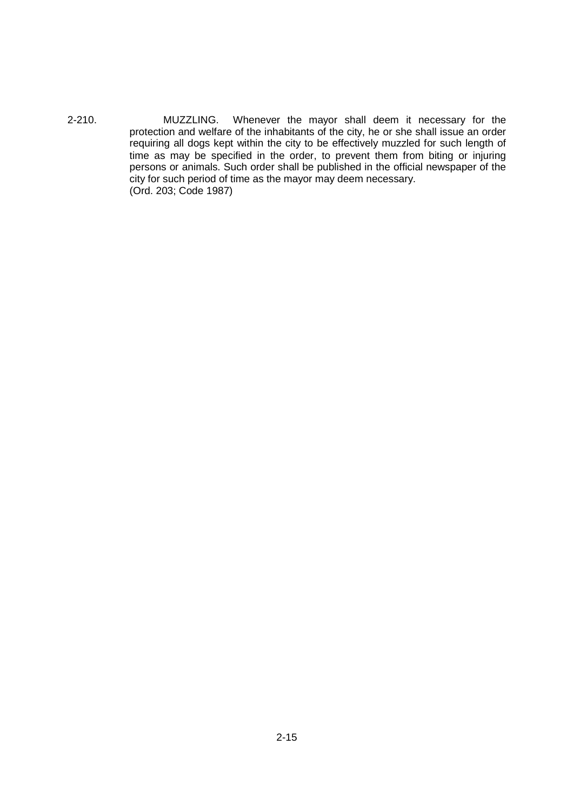2-210. MUZZLING. Whenever the mayor shall deem it necessary for the protection and welfare of the inhabitants of the city, he or she shall issue an order requiring all dogs kept within the city to be effectively muzzled for such length of time as may be specified in the order, to prevent them from biting or injuring persons or animals. Such order shall be published in the official newspaper of the city for such period of time as the mayor may deem necessary. (Ord. 203; Code 1987)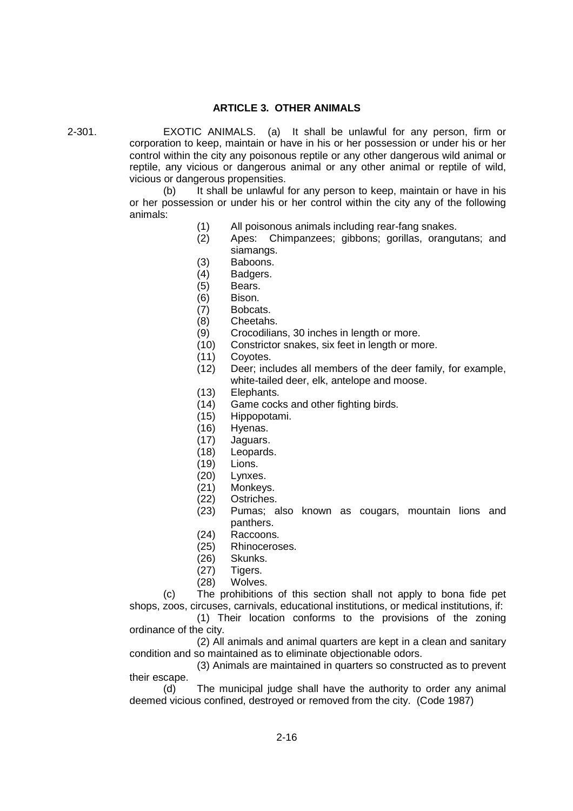## **ARTICLE 3. OTHER ANIMALS**

2-301. EXOTIC ANIMALS. (a) It shall be unlawful for any person, firm or corporation to keep, maintain or have in his or her possession or under his or her control within the city any poisonous reptile or any other dangerous wild animal or reptile, any vicious or dangerous animal or any other animal or reptile of wild, vicious or dangerous propensities.

> (b) It shall be unlawful for any person to keep, maintain or have in his or her possession or under his or her control within the city any of the following animals:

- (1) All poisonous animals including rear-fang snakes.
- (2) Apes: Chimpanzees; gibbons; gorillas, orangutans; and siamangs.
- (3) Baboons.
- (4) Badgers.
- (5) Bears.
- (6) Bison.
- (7) Bobcats.
- (8) Cheetahs.
- (9) Crocodilians, 30 inches in length or more.
- (10) Constrictor snakes, six feet in length or more.
- (11) Coyotes.
- (12) Deer; includes all members of the deer family, for example, white-tailed deer, elk, antelope and moose.
- (13) Elephants.
- (14) Game cocks and other fighting birds.
- (15) Hippopotami.
- (16) Hyenas.
- (17) Jaguars.
- (18) Leopards.
- (19) Lions.
- (20) Lynxes.
- (21) Monkeys.
- (22) Ostriches.
- (23) Pumas; also known as cougars, mountain lions and panthers.
- (24) Raccoons.
- (25) Rhinoceroses.
- (26) Skunks.
- (27) Tigers.
- (28) Wolves.

(c) The prohibitions of this section shall not apply to bona fide pet shops, zoos, circuses, carnivals, educational institutions, or medical institutions, if:

(1) Their location conforms to the provisions of the zoning ordinance of the city.

(2) All animals and animal quarters are kept in a clean and sanitary condition and so maintained as to eliminate objectionable odors.

(3) Animals are maintained in quarters so constructed as to prevent their escape.

(d) The municipal judge shall have the authority to order any animal deemed vicious confined, destroyed or removed from the city. (Code 1987)